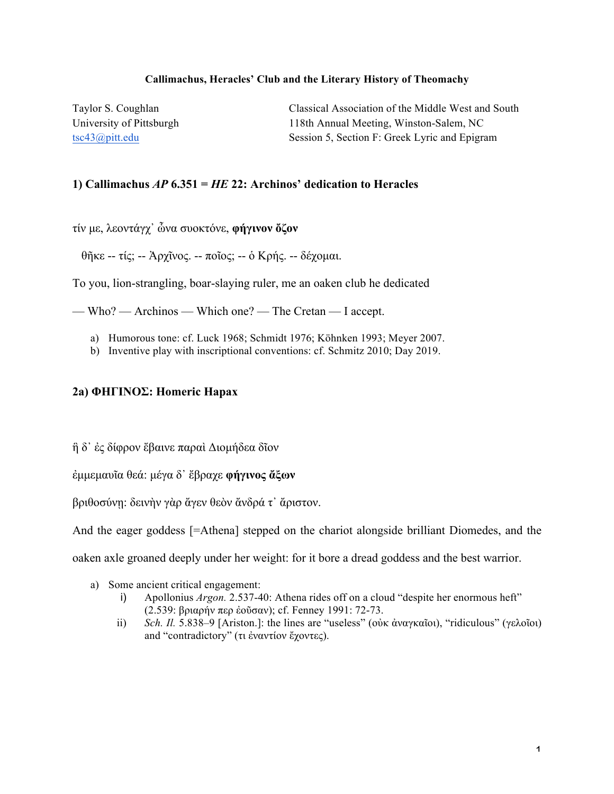#### **Callimachus, Heracles' Club and the Literary History of Theomachy**

Taylor S. Coughlan Classical Association of the Middle West and South University of Pittsburgh 118th Annual Meeting, Winston-Salem, NC tsc43@pitt.edu Session 5, Section F: Greek Lyric and Epigram

### **1) Callimachus** *AP* **6.351 =** *HE* **22: Archinos' dedication to Heracles**

τίν µε, λεοντάγχ᾽ ὦνα συοκτόνε, **φήγινον ὄζον**

θῆκε -- τίς; -- Ἀρχῖνος. -- ποῖος; -- ὁ Κρής. -- δέχοµαι.

To you, lion-strangling, boar-slaying ruler, me an oaken club he dedicated

— Who? — Archinos — Which one? — The Cretan — I accept.

- a) Humorous tone: cf. Luck 1968; Schmidt 1976; Köhnken 1993; Meyer 2007.
- b) Inventive play with inscriptional conventions: cf. Schmitz 2010; Day 2019.

#### **2a) ΦΗΓΙΝΟΣ: Homeric Hapax**

ἣ δ᾽ ἐς δίφρον ἔβαινε παραὶ Διοµήδεα δῖον

ἐµµεµαυῖα θεά: µέγα δ᾽ ἔβραχε **φήγινος ἄξων**

βριθοσύνῃ: δεινὴν γὰρ ἄγεν θεὸν ἄνδρά τ᾽ ἄριστον.

And the eager goddess [=Athena] stepped on the chariot alongside brilliant Diomedes, and the

oaken axle groaned deeply under her weight: for it bore a dread goddess and the best warrior.

- a) Some ancient critical engagement:
	- i) Apollonius *Argon.* 2.537-40: Athena rides off on a cloud "despite her enormous heft" (2.539: βριαρήν περ ἐοῦσαν); cf. Fenney 1991: 72-73.
	- ii) *Sch. Il.* 5.838–9 [Ariston.]: the lines are "useless" (οὐκ ἀναγκαῖοι), "ridiculous" (γελοῖοι) and "contradictory" (τι ἐναντίον ἔχοντες).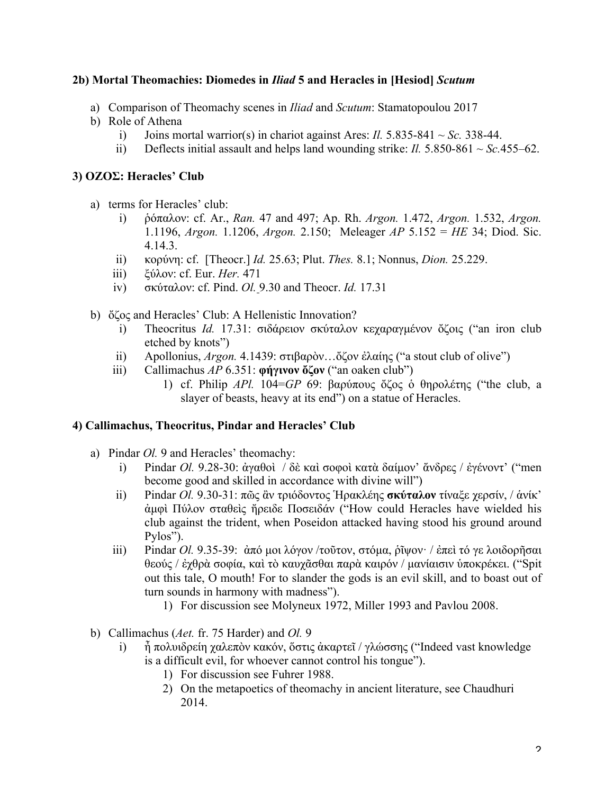## **2b) Mortal Theomachies: Diomedes in** *Iliad* **5 and Heracles in [Hesiod]** *Scutum*

- a) Comparison of Theomachy scenes in *Iliad* and *Scutum*: Stamatopoulou 2017
- b) Role of Athena
	- i) Joins mortal warrior(s) in chariot against Ares: *Il.*  $5.835-841 \sim Sc.$  338-44.
	- ii) Deflects initial assault and helps land wounding strike: *Il.*  $5.850-861 \sim$  *Sc.*455–62.

## **3) ΟΖΟΣ: Heracles' Club**

- a) terms for Heracles' club:
	- i) ῥόπαλον: cf. Ar., *Ran.* 47 and 497; Ap. Rh. *Argon.* 1.472, *Argon.* 1.532, *Argon.*  1.1196, *Argon.* 1.1206, *Argon.* 2.150; Meleager *AP* 5.152 = *HE* 34; Diod. Sic. 4.14.3.
	- ii) κορύνη: cf. [Theocr.] *Id.* 25.63; Plut. *Thes.* 8.1; Nonnus, *Dion.* 25.229.
	- iii) ξύλον: cf. Eur. *Her.* 471
	- iv) σκύταλον: cf. Pind. *Ol.* 9.30 and Theocr. *Id.* 17.31
- b) ὄζος and Heracles' Club: A Hellenistic Innovation?
	- i) Theocritus *Id.* 17.31: σιδάρειον σκύταλον κεχαραγµένον ὄζοις ("an iron club etched by knots")
	- ii) Apollonius, *Argon.* 4.1439: στιβαρὸν…ὄζον ἐλαίης ("a stout club of olive")
	- iii) Callimachus *AP* 6.351: **φήγινον ὄζον** ("an oaken club")
		- 1) cf. Philip *APl.* 104=*GP* 69: βαρύπους ὄζος ὁ θηρολέτης ("the club, a slayer of beasts, heavy at its end") on a statue of Heracles.

# **4) Callimachus, Theocritus, Pindar and Heracles' Club**

- a) Pindar *Ol.* 9 and Heracles' theomachy:
	- i) Pindar *Ol.* 9.28-30: ἀγαθοὶ / δὲ καὶ σοφοὶ κατὰ δαίµον' ἄνδρες / ἐγένοντ' ("men become good and skilled in accordance with divine will")
	- ii) Pindar *Ol.* 9.30-31: πῶς ἂν τριόδοντος Ἡρακλέης **σκύταλον** τίναξε χερσίν, / ἁνίκ' ἀµφὶ Πύλον σταθεὶς ἤρειδε Ποσειδάν ("How could Heracles have wielded his club against the trident, when Poseidon attacked having stood his ground around Pylos").
	- iii) Pindar *Ol.* 9.35-39: ἀπό µοι λόγον /τοῦτον, στόµα, ῥῖψον· / ἐπεὶ τό γε λοιδορῆσαι θεούς / ἐχθρὰ σοφία, καὶ τὸ καυχᾶσθαι παρὰ καιρόν / µανίαισιν ὑποκρέκει. ("Spit out this tale, O mouth! For to slander the gods is an evil skill, and to boast out of turn sounds in harmony with madness").
		- 1) For discussion see Molyneux 1972, Miller 1993 and Pavlou 2008.
- b) Callimachus (*Aet.* fr. 75 Harder) and *Ol.* 9
	- i) ἦ πολυιδρείη χαλεπὸν κακόν, ὅστις ἀκαρτεῖ / γλώσσης ("Indeed vast knowledge is a difficult evil, for whoever cannot control his tongue").
		- 1) For discussion see Fuhrer 1988.
		- 2) On the metapoetics of theomachy in ancient literature, see Chaudhuri 2014.